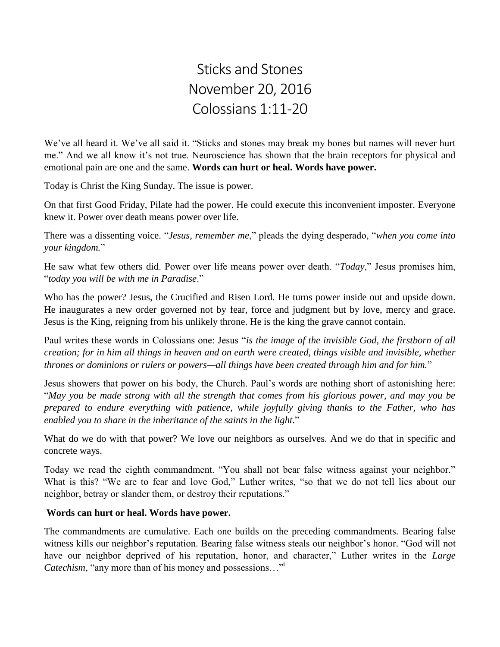## Sticks and Stones November 20, 2016 Colossians 1:11-20

We've all heard it. We've all said it. "Sticks and stones may break my bones but names will never hurt me." And we all know it's not true. Neuroscience has shown that the brain receptors for physical and emotional pain are one and the same. **Words can hurt or heal. Words have power.**

Today is Christ the King Sunday. The issue is power.

On that first Good Friday, Pilate had the power. He could execute this inconvenient imposter. Everyone knew it. Power over death means power over life.

There was a dissenting voice. "*Jesus, remember me*," pleads the dying desperado, "*when you come into your kingdom.*"

He saw what few others did. Power over life means power over death. "*Today*," Jesus promises him, "*today you will be with me in Paradise*."

Who has the power? Jesus, the Crucified and Risen Lord. He turns power inside out and upside down. He inaugurates a new order governed not by fear, force and judgment but by love, mercy and grace. Jesus is the King, reigning from his unlikely throne. He is the king the grave cannot contain.

Paul writes these words in Colossians one: Jesus "*is the image of the invisible God, the firstborn of all creation; for in him all things in heaven and on earth were created, things visible and invisible, whether thrones or dominions or rulers or powers—all things have been created through him and for him.*"

Jesus showers that power on his body, the Church. Paul's words are nothing short of astonishing here: "*May you be made strong with all the strength that comes from his glorious power, and may you be prepared to endure everything with patience, while joyfully giving thanks to the Father, who has enabled you to share in the inheritance of the saints in the light.*"

What do we do with that power? We love our neighbors as ourselves. And we do that in specific and concrete ways.

Today we read the eighth commandment. "You shall not bear false witness against your neighbor." What is this? "We are to fear and love God," Luther writes, "so that we do not tell lies about our neighbor, betray or slander them, or destroy their reputations."

## **Words can hurt or heal. Words have power.**

The commandments are cumulative. Each one builds on the preceding commandments. Bearing false witness kills our neighbor's reputation. Bearing false witness steals our neighbor's honor. "God will not have our neighbor deprived of his reputation, honor, and character," Luther writes in the *Large Catechism*, "any more than of his money and possessions…"<sup>i</sup>